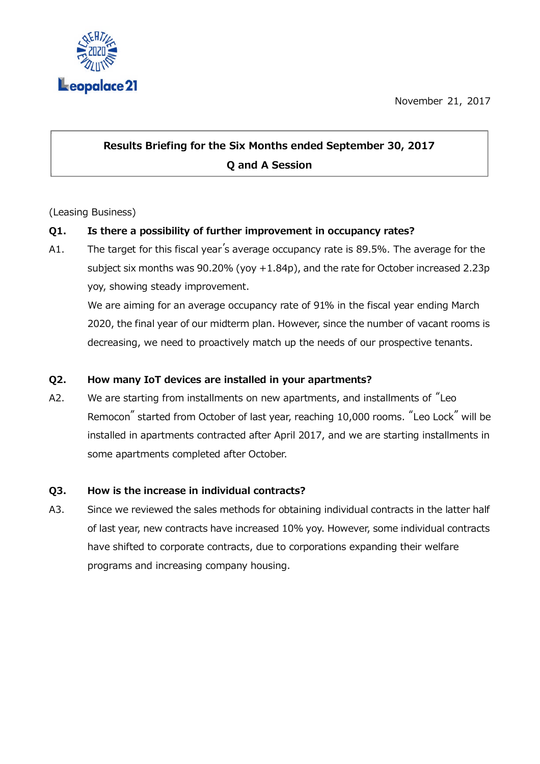November 21, 2017



# Results Briefing for the Six Months ended September 30, 2017 Q and A Session

## (Leasing Business)

## Q1. Is there a possibility of further improvement in occupancy rates?

A1. The target for this fiscal year's average occupancy rate is 89.5%. The average for the subject six months was 90.20% (yoy +1.84p), and the rate for October increased 2.23p yoy, showing steady improvement.

We are aiming for an average occupancy rate of 91% in the fiscal year ending March 2020, the final year of our midterm plan. However, since the number of vacant rooms is decreasing, we need to proactively match up the needs of our prospective tenants.

#### Q2. How many IoT devices are installed in your apartments?

A2. We are starting from installments on new apartments, and installments of "Leo Remocon" started from October of last year, reaching 10,000 rooms. "Leo Lock" will be installed in apartments contracted after April 2017, and we are starting installments in some apartments completed after October.

#### Q3. How is the increase in individual contracts?

A3. Since we reviewed the sales methods for obtaining individual contracts in the latter half of last year, new contracts have increased 10% yoy. However, some individual contracts have shifted to corporate contracts, due to corporations expanding their welfare programs and increasing company housing.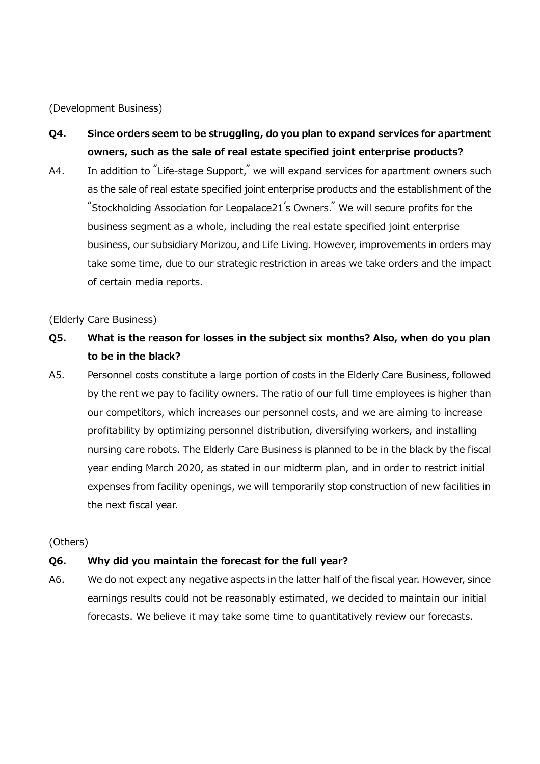(Development Business)

- Q4. Since orders seem to be struggling, do you plan to expand services for apartment owners, such as the sale of real estate specified joint enterprise products?
- A4. In addition to "Life-stage Support," we will expand services for apartment owners such as the sale of real estate specified joint enterprise products and the establishment of the "Stockholding Association for Leopalace21's Owners." We will secure profits for the business segment as a whole, including the real estate specified joint enterprise business, our subsidiary Morizou, and Life Living. However, improvements in orders may take some time, due to our strategic restriction in areas we take orders and the impact of certain media reports.

(Elderly Care Business)

- Q5. What is the reason for losses in the subject six months? Also, when do you plan to be in the black?
- A5. Personnel costs constitute a large portion of costs in the Elderly Care Business, followed by the rent we pay to facility owners. The ratio of our full time employees is higher than our competitors, which increases our personnel costs, and we are aiming to increase profitability by optimizing personnel distribution, diversifying workers, and installing nursing care robots. The Elderly Care Business is planned to be in the black by the fiscal year ending March 2020, as stated in our midterm plan, and in order to restrict initial expenses from facility openings, we will temporarily stop construction of new facilities in the next fiscal year.

(Others)

#### Q6. Why did you maintain the forecast for the full year?

A6. We do not expect any negative aspects in the latter half of the fiscal year. However, since earnings results could not be reasonably estimated, we decided to maintain our initial forecasts. We believe it may take some time to quantitatively review our forecasts.